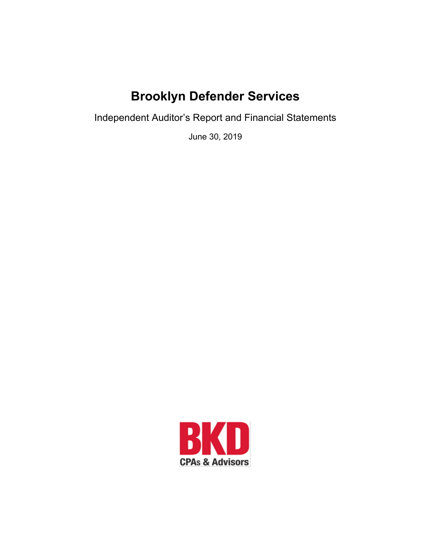# **Brooklyn Defender Services**

Independent Auditor's Report and Financial Statements

June 30, 2019

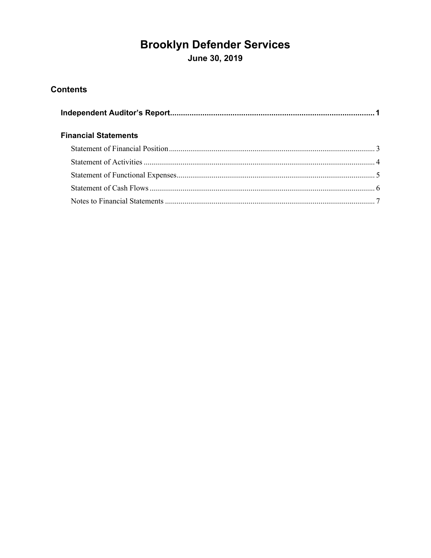# **Brooklyn Defender Services**

June 30, 2019

### **Contents**

| <b>Financial Statements</b> |  |
|-----------------------------|--|
|                             |  |
|                             |  |
|                             |  |
|                             |  |
|                             |  |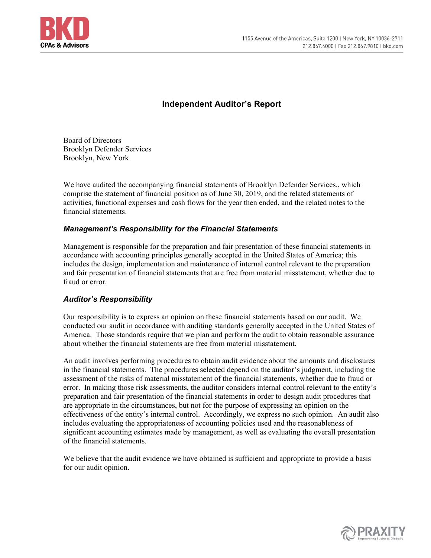

#### **Independent Auditor's Report**

Board of Directors Brooklyn Defender Services Brooklyn, New York

We have audited the accompanying financial statements of Brooklyn Defender Services., which comprise the statement of financial position as of June 30, 2019, and the related statements of activities, functional expenses and cash flows for the year then ended, and the related notes to the financial statements.

#### *Management's Responsibility for the Financial Statements*

Management is responsible for the preparation and fair presentation of these financial statements in accordance with accounting principles generally accepted in the United States of America; this includes the design, implementation and maintenance of internal control relevant to the preparation and fair presentation of financial statements that are free from material misstatement, whether due to fraud or error.

#### *Auditor's Responsibility*

Our responsibility is to express an opinion on these financial statements based on our audit. We conducted our audit in accordance with auditing standards generally accepted in the United States of America. Those standards require that we plan and perform the audit to obtain reasonable assurance about whether the financial statements are free from material misstatement.

An audit involves performing procedures to obtain audit evidence about the amounts and disclosures in the financial statements. The procedures selected depend on the auditor's judgment, including the assessment of the risks of material misstatement of the financial statements, whether due to fraud or error. In making those risk assessments, the auditor considers internal control relevant to the entity's preparation and fair presentation of the financial statements in order to design audit procedures that are appropriate in the circumstances, but not for the purpose of expressing an opinion on the effectiveness of the entity's internal control. Accordingly, we express no such opinion. An audit also includes evaluating the appropriateness of accounting policies used and the reasonableness of significant accounting estimates made by management, as well as evaluating the overall presentation of the financial statements.

We believe that the audit evidence we have obtained is sufficient and appropriate to provide a basis for our audit opinion.

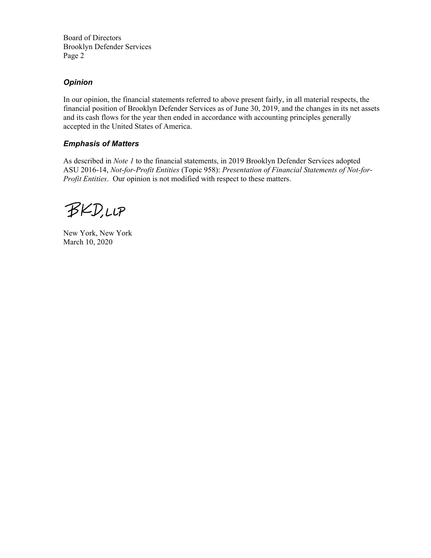Board of Directors Brooklyn Defender Services Page 2

#### *Opinion*

In our opinion, the financial statements referred to above present fairly, in all material respects, the financial position of Brooklyn Defender Services as of June 30, 2019, and the changes in its net assets and its cash flows for the year then ended in accordance with accounting principles generally accepted in the United States of America.

#### *Emphasis of Matters*

As described in *Note 1* to the financial statements, in 2019 Brooklyn Defender Services adopted ASU 2016-14, *Not-for-Profit Entities* (Topic 958): *Presentation of Financial Statements of Not-for-Profit Entities*. Our opinion is not modified with respect to these matters.

**BKD,LLP** 

New York, New York March 10, 2020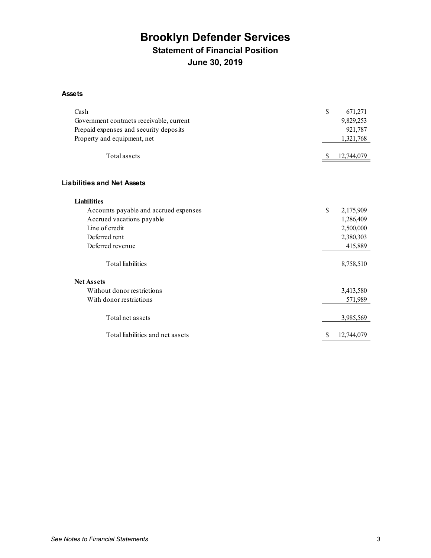## **Brooklyn Defender Services Statement of Financial Position June 30, 2019**

#### **Assets**

| Cash                                     | \$ | 671,271    |
|------------------------------------------|----|------------|
| Government contracts receivable, current |    | 9,829,253  |
| Prepaid expenses and security deposits   |    | 921,787    |
| Property and equipment, net              |    | 1,321,768  |
|                                          |    |            |
| <b>Total assets</b>                      | -S | 12,744,079 |
|                                          |    |            |
| <b>Liabilities and Net Assets</b>        |    |            |
| <b>Liabilities</b>                       |    |            |
| Accounts payable and accrued expenses    | \$ | 2,175,909  |
| Accrued vacations payable                |    | 1,286,409  |
| Line of credit                           |    | 2,500,000  |
| Deferred rent                            |    | 2,380,303  |
| Deferred revenue                         |    | 415,889    |
| <b>Total liabilities</b>                 |    | 8,758,510  |
| <b>Net Assets</b>                        |    |            |
|                                          |    |            |
| Without donor restrictions               |    | 3,413,580  |
| With donor restrictions                  |    | 571,989    |
| Total net assets                         |    | 3,985,569  |
| Total liabilities and net assets         | S  | 12,744,079 |
|                                          |    |            |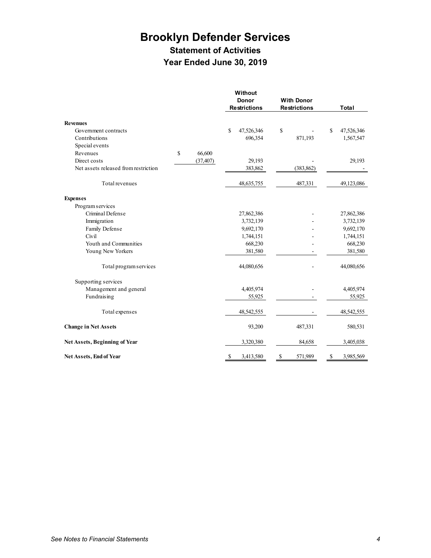## **Brooklyn Defender Services Statement of Activities Year Ended June 30, 2019**

|                                      |               |           |    | Without             |                     |    |              |
|--------------------------------------|---------------|-----------|----|---------------------|---------------------|----|--------------|
|                                      |               |           |    | <b>Donor</b>        | <b>With Donor</b>   |    |              |
|                                      |               |           |    | <b>Restrictions</b> | <b>Restrictions</b> |    | <b>Total</b> |
| <b>Revenues</b>                      |               |           |    |                     |                     |    |              |
| Government contracts                 |               |           | S  | 47,526,346          | \$                  | S  | 47,526,346   |
| Contributions                        |               |           |    | 696,354             | 871,193             |    | 1,567,547    |
| Special events                       |               |           |    |                     |                     |    |              |
| Revenues                             | $\mathsf{\$}$ | 66,600    |    |                     |                     |    |              |
| Direct costs                         |               | (37, 407) |    | 29,193              |                     |    | 29,193       |
| Net assets released from restriction |               |           |    | 383,862             | (383, 862)          |    |              |
| Total revenues                       |               |           |    | 48, 635, 755        | 487,331             |    | 49,123,086   |
| <b>Expenses</b>                      |               |           |    |                     |                     |    |              |
| Program services                     |               |           |    |                     |                     |    |              |
| Criminal Defense                     |               |           |    | 27,862,386          |                     |    | 27,862,386   |
| Immigration                          |               |           |    | 3,732,139           |                     |    | 3,732,139    |
| Family Defense                       |               |           |    | 9,692,170           |                     |    | 9,692,170    |
| Civil                                |               |           |    | 1,744,151           |                     |    | 1,744,151    |
| Youth and Communities                |               |           |    | 668,230             |                     |    | 668,230      |
| Young New Yorkers                    |               |           |    | 381,580             |                     |    | 381,580      |
| Total program services               |               |           |    | 44,080,656          |                     |    | 44,080,656   |
| Supporting services                  |               |           |    |                     |                     |    |              |
| Management and general               |               |           |    | 4,405,974           |                     |    | 4,405,974    |
| Fundraising                          |               |           |    | 55,925              |                     |    | 55,925       |
| Total expenses                       |               |           |    | 48,542,555          |                     |    | 48,542,555   |
| <b>Change in Net Assets</b>          |               |           |    | 93,200              | 487,331             |    | 580,531      |
| Net Assets, Beginning of Year        |               |           |    | 3,320,380           | 84,658              |    | 3,405,038    |
| Net Assets, End of Year              |               |           | \$ | 3,413,580           | \$<br>571,989       | \$ | 3,985,569    |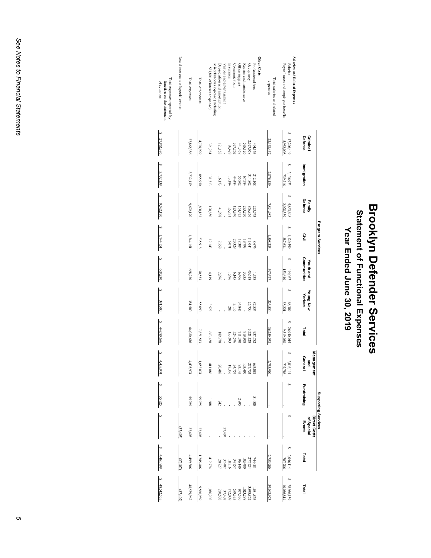# **Brooklyn Defender Services Brooklyn Defender Services** Statement of Functional Expenses **Statement of Functional Expenses**

Year Ended June 30, 2019 **Year Ended June 30, 2019**

|                                                                                                |                         |                      |                        | Program Services     |                          |                      |                         |                                                                      |             | Supporting Services                  |                                             |                                                                                                  |
|------------------------------------------------------------------------------------------------|-------------------------|----------------------|------------------------|----------------------|--------------------------|----------------------|-------------------------|----------------------------------------------------------------------|-------------|--------------------------------------|---------------------------------------------|--------------------------------------------------------------------------------------------------|
|                                                                                                | Criminal<br>Defense     | mmigration           | Defense<br>Family      | Civil                | Communities<br>Youth and | Young New<br>Yorkers | Total                   | Management<br>General<br>and                                         | Fundraising | Direct Costs<br>of Special<br>Events | Total                                       | Total                                                                                            |
| <b>Salaries and Related Expenses</b><br><b>Salaries</b><br>Payroll taxes and employee benefits | 17,206,449<br>5,952,008 | 2,136,973<br>739,216 | 5,863,648<br>2,028,339 | 1,120,599<br>387,634 | 444,067<br>153,610       | 168,309<br>58,221    | 26,940,045<br>9,319,028 | 2,046,114<br>707,786                                                 |             |                                      | 2,046,114<br>707,786                        | \$ 28,986,159<br>10,026,814                                                                      |
| Fotal salaries and related<br>expenses                                                         | 23,158,457              | 2,876,189            | 7,891,987              | 1,508,233            | 597,677                  | 226,530              | 36,259,073              | 2,753,900                                                            |             |                                      | 2,753,900                                   | 39,012,973                                                                                       |
| Other Costs<br>Professional fees                                                               | 404,163                 | 212,108              | 223,763                | 8,676                | 1,538                    | 87,534               | 937,782                 | 693,081                                                              | 51,000      |                                      | 744,081                                     | 1,681,863                                                                                        |
| Occupancy                                                                                      | 2,327,058               | 314,802              | 866,856                | 143,044              | 43,618                   | 25,750               | 3,721,128               | 277,724                                                              |             |                                      | 277,724                                     |                                                                                                  |
| Repairs and maintenance                                                                        | 595,126                 | 67,784               | 233,270                | 19,793               | 3,835                    |                      | 808'616                 |                                                                      |             |                                      | 103,480                                     |                                                                                                  |
| Office supplies                                                                                | 441,458                 | 55,902               | 154,475                | 18,304               | 6,406                    | 34,845               | 711,390                 | $\begin{array}{c} 103,480 \\ 93,145 \\ 34,757 \\ 18,316 \end{array}$ | 2,995       |                                      |                                             |                                                                                                  |
| Communication                                                                                  | 327,262                 | 44,484               | 123,240                | 20,329               | 6,145                    | 3,116                | 524,576                 |                                                                      |             |                                      |                                             |                                                                                                  |
| Insurance<br>Venues and entertamment                                                           | 96,428                  | 13,184               | 35,731                 | 170,071              | 966'I                    | 283                  | 153,693                 | l,                                                                   |             | 37,407                               | 8 3 3 3 3 4<br>3 4 5 5 5 5 7<br>3 5 7 5 5 7 | $\begin{array}{r} 3,998,852 \\ 8007,533 \\ 8007,533 \\ 172,009 \\ 172,407 \\ 37,407 \end{array}$ |
| Depreciation and amortization                                                                  | 121,153                 | 16,173               | 41,998                 | 7,558                | 2,896                    |                      | 189,778                 | 20,485                                                               | 242         |                                      |                                             | 210,505                                                                                          |
| Miscellaneous expense (including<br>\$23,801 of interest expense)                              | 391,281                 | 131,513              | 120,850                | 12,143               | 4,119                    | 3,522                | 663,428                 | 411,086                                                              | ,688        |                                      | 412,774                                     | ,076,202                                                                                         |
| Total other costs                                                                              | 4,703,929               | 855,950              | ,800,183               | 235,918              | 70,553                   | 155,050              | 7,821,583               | 1,652,074                                                            | 55,925      | 37,407                               | 1,745,406                                   | 9,566,989                                                                                        |
| <b>Total</b> expenses                                                                          | 27,862,386              | 3,732,139            | 9,692,170              | 1,744,151            | 668,230                  | 381,580              | 44,080,656              | 4,405,974                                                            | 55,925      | 37,407                               | 4,499,306                                   | 48,579,962                                                                                       |
| Less direct costs of special events                                                            |                         |                      |                        |                      |                          |                      |                         |                                                                      |             | (37,407)                             | (37,407)                                    | (37,407)                                                                                         |
| Total expenses reported by<br>of activities<br>function on the statement                       | 27,862,386              | 3,732,139            | 9,692,170              | 1,744,151            | 668,230                  | 381,580              | 44,080,656              | 4,405,974                                                            | 55,925      |                                      | \$4461,899                                  | \$48,542,555                                                                                     |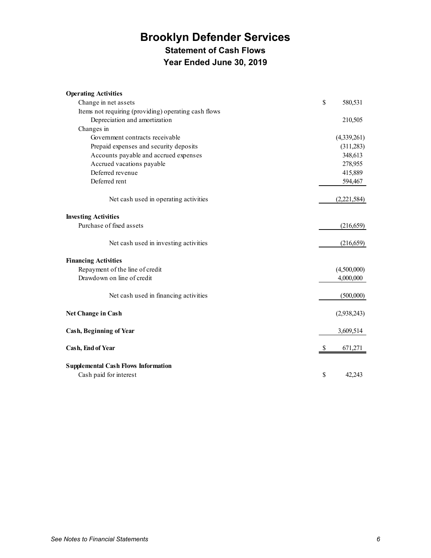## **Brooklyn Defender Services Statement of Cash Flows Year Ended June 30, 2019**

| <b>Operating Activities</b>                          |    |             |
|------------------------------------------------------|----|-------------|
| Change in net assets                                 | \$ | 580,531     |
| Items not requiring (providing) operating cash flows |    |             |
| Depreciation and amortization                        |    | 210,505     |
| Changes in                                           |    |             |
| Government contracts receivable                      |    | (4,339,261) |
| Prepaid expenses and security deposits               |    | (311,283)   |
| Accounts payable and accrued expenses                |    | 348,613     |
| Accrued vacations payable                            |    | 278,955     |
| Deferred revenue                                     |    | 415,889     |
| Deferred rent                                        |    | 594,467     |
| Net cash used in operating activities                |    | (2,221,584) |
| <b>Investing Activities</b>                          |    |             |
| Purchase of fixed assets                             |    | (216, 659)  |
| Net cash used in investing activities                |    | (216, 659)  |
| <b>Financing Activities</b>                          |    |             |
| Repayment of the line of credit                      |    | (4,500,000) |
| Drawdown on line of credit                           |    | 4,000,000   |
| Net cash used in financing activities                |    | (500,000)   |
| Net Change in Cash                                   |    | (2,938,243) |
| <b>Cash, Beginning of Year</b>                       |    | 3,609,514   |
| Cash, End of Year                                    | S  | 671,271     |
| <b>Supplemental Cash Flows Information</b>           |    |             |
| Cash paid for interest                               | \$ | 42.243      |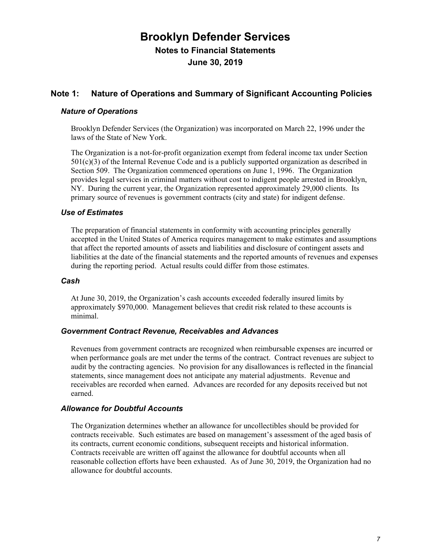#### **Note 1: Nature of Operations and Summary of Significant Accounting Policies**

#### *Nature of Operations*

Brooklyn Defender Services (the Organization) was incorporated on March 22, 1996 under the laws of the State of New York.

The Organization is a not-for-profit organization exempt from federal income tax under Section 501(c)(3) of the Internal Revenue Code and is a publicly supported organization as described in Section 509. The Organization commenced operations on June 1, 1996. The Organization provides legal services in criminal matters without cost to indigent people arrested in Brooklyn, NY. During the current year, the Organization represented approximately 29,000 clients. Its primary source of revenues is government contracts (city and state) for indigent defense.

#### *Use of Estimates*

The preparation of financial statements in conformity with accounting principles generally accepted in the United States of America requires management to make estimates and assumptions that affect the reported amounts of assets and liabilities and disclosure of contingent assets and liabilities at the date of the financial statements and the reported amounts of revenues and expenses during the reporting period. Actual results could differ from those estimates.

#### *Cash*

At June 30, 2019, the Organization's cash accounts exceeded federally insured limits by approximately \$970,000. Management believes that credit risk related to these accounts is minimal.

#### *Government Contract Revenue, Receivables and Advances*

Revenues from government contracts are recognized when reimbursable expenses are incurred or when performance goals are met under the terms of the contract. Contract revenues are subject to audit by the contracting agencies. No provision for any disallowances is reflected in the financial statements, since management does not anticipate any material adjustments. Revenue and receivables are recorded when earned. Advances are recorded for any deposits received but not earned.

#### *Allowance for Doubtful Accounts*

The Organization determines whether an allowance for uncollectibles should be provided for contracts receivable. Such estimates are based on management's assessment of the aged basis of its contracts, current economic conditions, subsequent receipts and historical information. Contracts receivable are written off against the allowance for doubtful accounts when all reasonable collection efforts have been exhausted. As of June 30, 2019, the Organization had no allowance for doubtful accounts.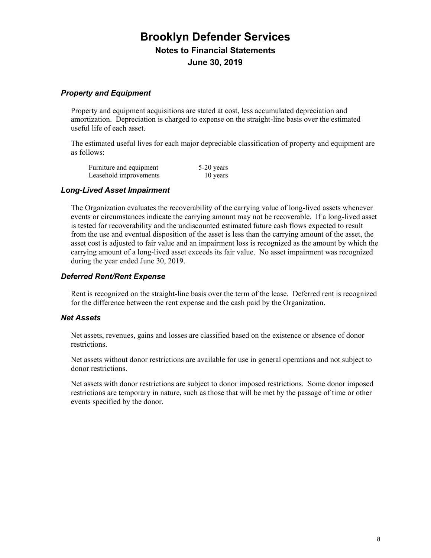#### *Property and Equipment*

Property and equipment acquisitions are stated at cost, less accumulated depreciation and amortization. Depreciation is charged to expense on the straight-line basis over the estimated useful life of each asset.

The estimated useful lives for each major depreciable classification of property and equipment are as follows:

| Furniture and equipment | $5-20$ years |
|-------------------------|--------------|
| Leasehold improvements  | 10 years     |

#### *Long-Lived Asset Impairment*

The Organization evaluates the recoverability of the carrying value of long-lived assets whenever events or circumstances indicate the carrying amount may not be recoverable. If a long-lived asset is tested for recoverability and the undiscounted estimated future cash flows expected to result from the use and eventual disposition of the asset is less than the carrying amount of the asset, the asset cost is adjusted to fair value and an impairment loss is recognized as the amount by which the carrying amount of a long-lived asset exceeds its fair value. No asset impairment was recognized during the year ended June 30, 2019.

#### *Deferred Rent/Rent Expense*

Rent is recognized on the straight-line basis over the term of the lease. Deferred rent is recognized for the difference between the rent expense and the cash paid by the Organization.

#### *Net Assets*

Net assets, revenues, gains and losses are classified based on the existence or absence of donor restrictions.

Net assets without donor restrictions are available for use in general operations and not subject to donor restrictions.

Net assets with donor restrictions are subject to donor imposed restrictions. Some donor imposed restrictions are temporary in nature, such as those that will be met by the passage of time or other events specified by the donor.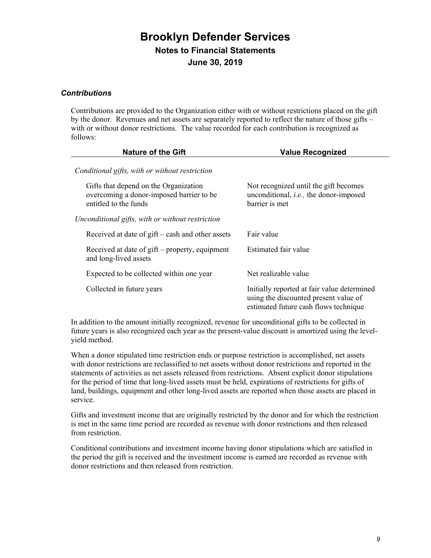#### *Contributions*

Contributions are provided to the Organization either with or without restrictions placed on the gift by the donor. Revenues and net assets are separately reported to reflect the nature of those gifts – with or without donor restrictions. The value recorded for each contribution is recognized as follows:

| <b>Nature of the Gift</b>                                                                                  | <b>Value Recognized</b>                                                                                                       |
|------------------------------------------------------------------------------------------------------------|-------------------------------------------------------------------------------------------------------------------------------|
| Conditional gifts, with or without restriction                                                             |                                                                                                                               |
| Gifts that depend on the Organization<br>overcoming a donor-imposed barrier to be<br>entitled to the funds | Not recognized until the gift becomes<br>unconditional, <i>i.e.</i> , the donor-imposed<br>barrier is met                     |
| Unconditional gifts, with or without restriction                                                           |                                                                                                                               |
| Received at date of $g$ ift – cash and other assets                                                        | Fair value                                                                                                                    |
| Received at date of gift – property, equipment<br>and long-lived assets                                    | Estimated fair value                                                                                                          |
| Expected to be collected within one year                                                                   | Net realizable value                                                                                                          |
| Collected in future years                                                                                  | Initially reported at fair value determined<br>using the discounted present value of<br>estimated future cash flows technique |

In addition to the amount initially recognized, revenue for unconditional gifts to be collected in future years is also recognized each year as the present-value discount is amortized using the levelyield method.

When a donor stipulated time restriction ends or purpose restriction is accomplished, net assets with donor restrictions are reclassified to net assets without donor restrictions and reported in the statements of activities as net assets released from restrictions. Absent explicit donor stipulations for the period of time that long-lived assets must be held, expirations of restrictions for gifts of land, buildings, equipment and other long-lived assets are reported when those assets are placed in service.

Gifts and investment income that are originally restricted by the donor and for which the restriction is met in the same time period are recorded as revenue with donor restrictions and then released from restriction.

Conditional contributions and investment income having donor stipulations which are satisfied in the period the gift is received and the investment income is earned are recorded as revenue with donor restrictions and then released from restriction.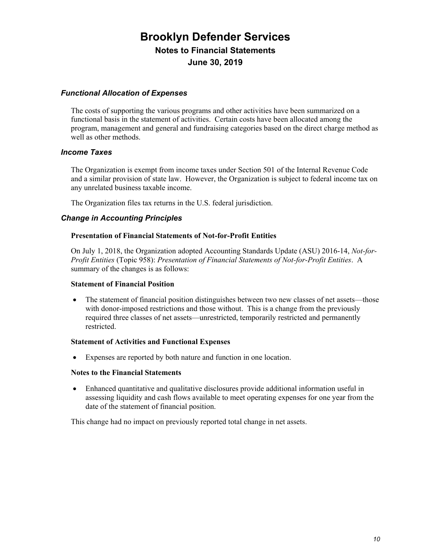#### *Functional Allocation of Expenses*

The costs of supporting the various programs and other activities have been summarized on a functional basis in the statement of activities. Certain costs have been allocated among the program, management and general and fundraising categories based on the direct charge method as well as other methods.

#### *Income Taxes*

The Organization is exempt from income taxes under Section 501 of the Internal Revenue Code and a similar provision of state law. However, the Organization is subject to federal income tax on any unrelated business taxable income.

The Organization files tax returns in the U.S. federal jurisdiction.

#### *Change in Accounting Principles*

#### **Presentation of Financial Statements of Not-for-Profit Entities**

On July 1, 2018, the Organization adopted Accounting Standards Update (ASU) 2016-14, *Not-for-Profit Entities* (Topic 958): *Presentation of Financial Statements of Not-for-Profit Entities*. A summary of the changes is as follows:

#### **Statement of Financial Position**

x The statement of financial position distinguishes between two new classes of net assets—those with donor-imposed restrictions and those without. This is a change from the previously required three classes of net assets—unrestricted, temporarily restricted and permanently restricted.

#### **Statement of Activities and Functional Expenses**

x Expenses are reported by both nature and function in one location.

#### **Notes to the Financial Statements**

Enhanced quantitative and qualitative disclosures provide additional information useful in assessing liquidity and cash flows available to meet operating expenses for one year from the date of the statement of financial position.

This change had no impact on previously reported total change in net assets.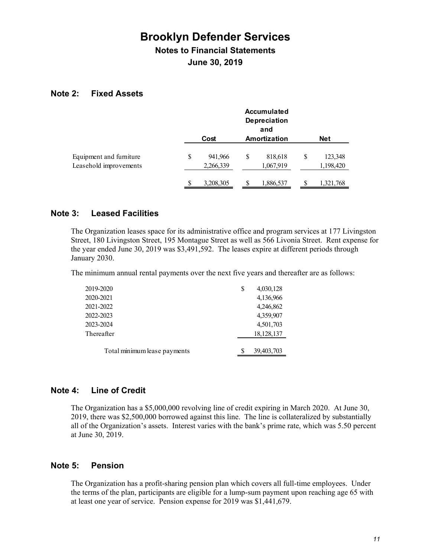**June 30, 2019**

#### **Note 2: Fixed Assets**

|                                                   |                            |   | <b>Accumulated</b><br><b>Depreciation</b><br>and |   |                      |
|---------------------------------------------------|----------------------------|---|--------------------------------------------------|---|----------------------|
|                                                   | Cost                       |   | Amortization                                     |   | <b>Net</b>           |
| Equipment and furniture<br>Leasehold improvements | \$<br>941,966<br>2,266,339 | S | 818,618<br>1,067,919                             | S | 123,348<br>1,198,420 |
|                                                   | \$<br>3,208,305            |   | 1,886,537                                        |   | 1,321,768            |

#### **Note 3: Leased Facilities**

The Organization leases space for its administrative office and program services at 177 Livingston Street, 180 Livingston Street, 195 Montague Street as well as 566 Livonia Street. Rent expense for the year ended June 30, 2019 was \$3,491,592. The leases expire at different periods through January 2030.

The minimum annual rental payments over the next five years and thereafter are as follows:

| 2019-2020                    | \$ | 4,030,128  |
|------------------------------|----|------------|
| 2020-2021                    |    | 4,136,966  |
| 2021-2022                    |    | 4,246,862  |
| 2022-2023                    |    | 4,359,907  |
| 2023-2024                    |    | 4,501,703  |
| Thereafter                   |    | 18,128,137 |
|                              |    |            |
| Total minimum lease payments | S  | 39,403,703 |

#### **Note 4: Line of Credit**

The Organization has a \$5,000,000 revolving line of credit expiring in March 2020. At June 30, 2019, there was \$2,500,000 borrowed against this line. The line is collateralized by substantially all of the Organization's assets. Interest varies with the bank's prime rate, which was 5.50 percent at June 30, 2019.

#### **Note 5: Pension**

The Organization has a profit-sharing pension plan which covers all full-time employees. Under the terms of the plan, participants are eligible for a lump-sum payment upon reaching age 65 with at least one year of service. Pension expense for 2019 was \$1,441,679.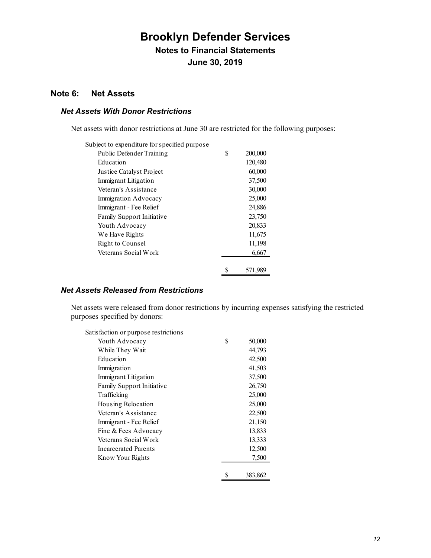#### **Note 6: Net Assets**

#### *Net Assets With Donor Restrictions*

Net assets with donor restrictions at June 30 are restricted for the following purposes:

| Subject to expenditure for specified purpose |   |         |
|----------------------------------------------|---|---------|
| Public Defender Training                     | S | 200,000 |
| Education                                    |   | 120,480 |
| Justice Catalyst Project                     |   | 60,000  |
| Immigrant Litigation                         |   | 37,500  |
| Veteran's Assistance                         |   | 30,000  |
| Immigration Advocacy                         |   | 25,000  |
| Immigrant - Fee Relief                       |   | 24,886  |
| <b>Family Support Initiative</b>             |   | 23,750  |
| Youth Advocacy                               |   | 20,833  |
| We Have Rights                               |   | 11,675  |
| Right to Counsel                             |   | 11,198  |
| Veterans Social Work                         |   | 6,667   |
|                                              |   |         |
|                                              |   | 571,989 |

#### *Net Assets Released from Restrictions*

Net assets were released from donor restrictions by incurring expenses satisfying the restricted purposes specified by donors:

| Satisfaction or purpose restrictions |              |
|--------------------------------------|--------------|
| Youth Advocacy                       | \$<br>50,000 |
| While They Wait                      | 44,793       |
| Education                            | 42,500       |
| Immigration                          | 41,503       |
| Immigrant Litigation                 | 37,500       |
| Family Support Initiative            | 26,750       |
| Trafficking                          | 25,000       |
| Housing Relocation                   | 25,000       |
| Veteran's Assistance                 | 22,500       |
| Immigrant - Fee Relief               | 21,150       |
| Fine & Fees Advocacy                 | 13,833       |
| Veterans Social Work                 | 13,333       |
| <b>Incarcerated Parents</b>          | 12,500       |
| Know Your Rights                     | 7,500        |
|                                      |              |
|                                      | 383,862      |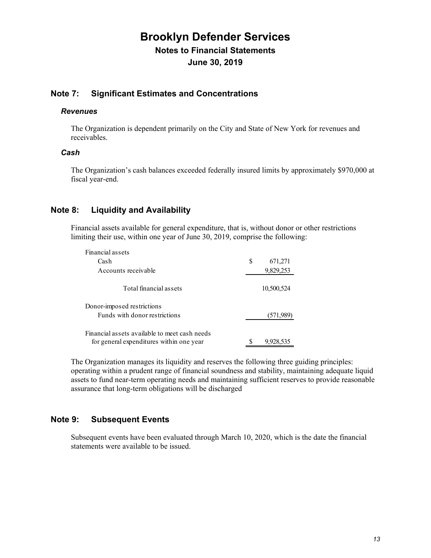#### **Note 7: Significant Estimates and Concentrations**

#### *Revenues*

The Organization is dependent primarily on the City and State of New York for revenues and receivables.

#### *Cash*

The Organization's cash balances exceeded federally insured limits by approximately \$970,000 at fiscal year-end.

#### **Note 8: Liquidity and Availability**

Financial assets available for general expenditure, that is, without donor or other restrictions limiting their use, within one year of June 30, 2019, comprise the following:

| Financial assets                                                                          |   |            |
|-------------------------------------------------------------------------------------------|---|------------|
| Cash                                                                                      | S | 671,271    |
| Accounts receivable                                                                       |   | 9,829,253  |
| Total financial assets                                                                    |   | 10,500,524 |
| Donor-imposed restrictions                                                                |   |            |
| Funds with donor restrictions                                                             |   | (571, 989) |
| Financial assets available to meet cash needs<br>for general expenditures within one year |   | 9,928,535  |

The Organization manages its liquidity and reserves the following three guiding principles: operating within a prudent range of financial soundness and stability, maintaining adequate liquid assets to fund near-term operating needs and maintaining sufficient reserves to provide reasonable assurance that long-term obligations will be discharged

#### **Note 9: Subsequent Events**

Subsequent events have been evaluated through March 10, 2020, which is the date the financial statements were available to be issued.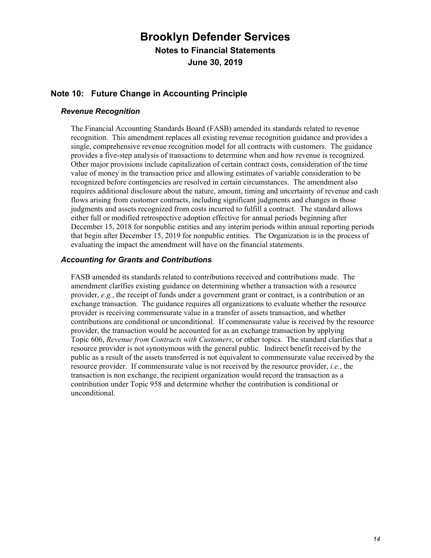#### **Note 10: Future Change in Accounting Principle**

#### *Revenue Recognition*

The Financial Accounting Standards Board (FASB) amended its standards related to revenue recognition. This amendment replaces all existing revenue recognition guidance and provides a single, comprehensive revenue recognition model for all contracts with customers. The guidance provides a five-step analysis of transactions to determine when and how revenue is recognized. Other major provisions include capitalization of certain contract costs, consideration of the time value of money in the transaction price and allowing estimates of variable consideration to be recognized before contingencies are resolved in certain circumstances. The amendment also requires additional disclosure about the nature, amount, timing and uncertainty of revenue and cash flows arising from customer contracts, including significant judgments and changes in those judgments and assets recognized from costs incurred to fulfill a contract. The standard allows either full or modified retrospective adoption effective for annual periods beginning after December 15, 2018 for nonpublic entities and any interim periods within annual reporting periods that begin after December 15, 2019 for nonpublic entities. The Organization is in the process of evaluating the impact the amendment will have on the financial statements.

#### *Accounting for Grants and Contributions*

FASB amended its standards related to contributions received and contributions made. The amendment clarifies existing guidance on determining whether a transaction with a resource provider, *e.g.*, the receipt of funds under a government grant or contract, is a contribution or an exchange transaction. The guidance requires all organizations to evaluate whether the resource provider is receiving commensurate value in a transfer of assets transaction, and whether contributions are conditional or unconditional. If commensurate value is received by the resource provider, the transaction would be accounted for as an exchange transaction by applying Topic 606, *Revenue from Contracts with Customers*, or other topics. The standard clarifies that a resource provider is not synonymous with the general public. Indirect benefit received by the public as a result of the assets transferred is not equivalent to commensurate value received by the resource provider. If commensurate value is not received by the resource provider, *i.e.*, the transaction is non exchange, the recipient organization would record the transaction as a contribution under Topic 958 and determine whether the contribution is conditional or unconditional.